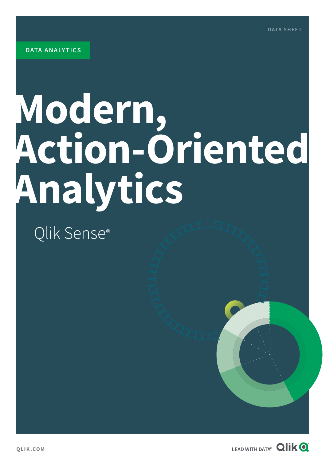# **Modern, Action-Oriented Analytics**

## Qlik Sense®

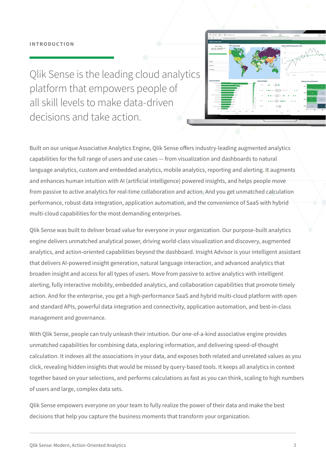#### **INTRODUCTION**



Qlik Sense is the leading cloud analytics platform that empowers people of all skill levels to make data-driven decisions and take action.

Built on our unique Associative Analytics Engine, Qlik Sense offers industry-leading augmented analytics capabilities for the full range of users and use cases — from visualization and dashboards to natural language analytics, custom and embedded analytics, mobile analytics, reporting and alerting. It augments and enhances human intuition with AI (artificial intelligence) powered insights, and helps people move from passive to active analytics for real-time collaboration and action. And you get unmatched calculation performance, robust data integration, application automation, and the convenience of SaaS with hybrid multi-cloud capabilities for the most demanding enterprises.

Qlik Sense was built to deliver broad value for everyone in your organization. Our purpose-built analytics engine delivers unmatched analytical power, driving world-class visualization and discovery, augmented analytics, and action-oriented capabilities beyond the dashboard. Insight Advisor is your intelligent assistant that delivers AI-powered insight generation, natural language interaction, and advanced analytics that broaden insight and access for all types of users. Move from passive to active analytics with intelligent alerting, fully interactive mobility, embedded analytics, and collaboration capabilities that promote timely action. And for the enterprise, you get a high-performance SaaS and hybrid multi-cloud platform with open and standard APIs, powerful data integration and connectivity, application automation, and best-in-class management and governance.

With Qlik Sense, people can truly unleash their intuition. Our one-of-a-kind associative engine provides unmatched capabilities for combining data, exploring information, and delivering speed-of-thought calculation. It indexes all the associations in your data, and exposes both related and unrelated values as you click, revealing hidden insights that would be missed by query-based tools. It keeps all analytics in context together based on your selections, and performs calculations as fast as you can think, scaling to high numbers of users and large, complex data sets.

Qlik Sense empowers everyone on your team to fully realize the power of their data and make the best decisions that help you capture the business moments that transform your organization.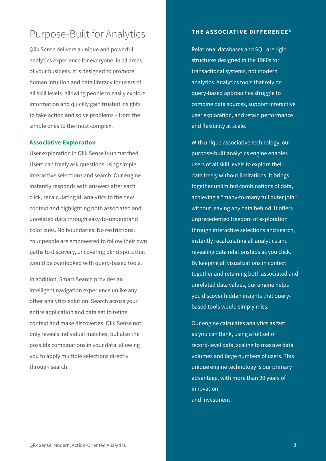## Purpose-Built for Analytics

Qlik Sense delivers a unique and powerful analytics experience for everyone, in all areas of your business. It is designed to promote human intuition and data literacy for users of all skill levels, allowing people to easily explore information and quickly gain trusted insights to take action and solve problems – from the simple ones to the most complex.

#### **Associative Exploration**

User exploration in Qlik Sense is unmatched. Users can freely ask questions using simple interactive selections and search. Our engine instantly responds with answers after each click, recalculating all analytics to the new context and highlighting both associated and unrelated data through easy-to-understand color cues. No boundaries. No restrictions. Your people are empowered to follow their own paths to discovery, uncovering blind spots that would be overlooked with query-based tools.

In addition, Smart Search provides an intelligent navigation experience unlike any other analytics solution. Search across your entire application and data set to refine context and make discoveries. Qlik Sense not only reveals individual matches, but also the possible combinations in your data, allowing you to apply multiple selections directly through search.

#### **THE ASSOCIATIVE DIFFERENCE®**

Relational databases and SQL are rigid structures designed in the 1980s for transactional systems, not modern analytics. Analytics tools that rely on query-based approaches struggle to combine data sources, support interactive user exploration, and retain performance and flexibility at scale.

With unique associative technology, our purpose-built analytics engine enables users of all skill levels to explore their data freely without limitations. It brings together unlimited combinations of data, achieving a "many-to-many full outer join" without leaving any data behind. It offers unprecedented freedom of exploration through interactive selections and search, instantly recalculating all analytics and revealing data relationships as you click. By keeping all visualizations in context together and retaining both associated and unrelated data values, our engine helps you discover hidden insights that querybased tools would simply miss.

Our engine calculates analytics as fast as you can think, using a full set of record-level data, scaling to massive data volumes and large numbers of users. This unique engine technology is our primary advantage, with more than 20 years of innovation and investment.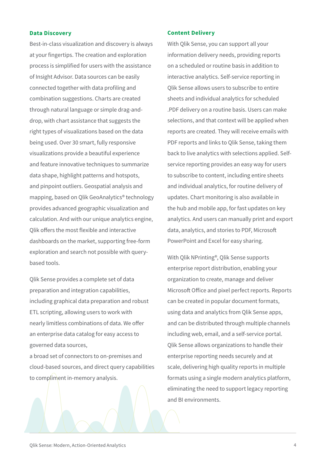#### **Data Discovery**

Best-in-class visualization and discovery is always at your fingertips. The creation and exploration process is simplified for users with the assistance of Insight Advisor. Data sources can be easily connected together with data profiling and combination suggestions. Charts are created through natural language or simple drag-anddrop, with chart assistance that suggests the right types of visualizations based on the data being used. Over 30 smart, fully responsive visualizations provide a beautiful experience and feature innovative techniques to summarize data shape, highlight patterns and hotspots, and pinpoint outliers. Geospatial analysis and mapping, based on Qlik GeoAnalytics® technology provides advanced geographic visualization and calculation. And with our unique analytics engine, Qlik offers the most flexible and interactive dashboards on the market, supporting free-form exploration and search not possible with querybased tools.

Qlik Sense provides a complete set of data preparation and integration capabilities, including graphical data preparation and robust ETL scripting, allowing users to work with nearly limitless combinations of data. We offer an enterprise data catalog for easy access to governed data sources,

a broad set of connectors to on-premises and cloud-based sources, and direct query capabilities to compliment in-memory analysis.

#### **Content Delivery**

With Qlik Sense, you can support all your information delivery needs, providing reports on a scheduled or routine basis in addition to interactive analytics. Self-service reporting in Qlik Sense allows users to subscribe to entire sheets and individual analytics for scheduled .PDF delivery on a routine basis. Users can make selections, and that context will be applied when reports are created. They will receive emails with PDF reports and links to Qlik Sense, taking them back to live analytics with selections applied. Selfservice reporting provides an easy way for users to subscribe to content, including entire sheets and individual analytics, for routine delivery of updates. Chart monitoring is also available in the hub and mobile app, for fast updates on key analytics. And users can manually print and export data, analytics, and stories to PDF, Microsoft PowerPoint and Excel for easy sharing.

With Qlik NPrinting®, Qlik Sense supports enterprise report distribution, enabling your organization to create, manage and deliver Microsoft Office and pixel perfect reports. Reports can be created in popular document formats, using data and analytics from Qlik Sense apps, and can be distributed through multiple channels including web, email, and a self-service portal. Qlik Sense allows organizations to handle their enterprise reporting needs securely and at scale, delivering high quality reports in multiple formats using a single modern analytics platform, eliminating the need to support legacy reporting and BI environments.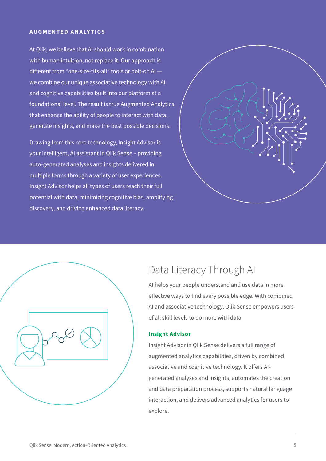#### **AUGMENTED ANALY TICS**

At Qlik, we believe that AI should work in combination with human intuition, not replace it. Our approach is different from "one-size-fits-all" tools or bolt-on AI we combine our unique associative technology with AI and cognitive capabilities built into our platform at a foundational level. The result is true Augmented Analytics that enhance the ability of people to interact with data, generate insights, and make the best possible decisions.

Drawing from this core technology, Insight Advisor is your intelligent, AI assistant in Qlik Sense – providing auto-generated analyses and insights delivered in multiple forms through a variety of user experiences. Insight Advisor helps all types of users reach their full potential with data, minimizing cognitive bias, amplifying discovery, and driving enhanced data literacy.



| $\hat{\mathscr{L}}$ |  |
|---------------------|--|
|                     |  |

### Data Literacy Through AI

AI helps your people understand and use data in more effective ways to find every possible edge. With combined AI and associative technology, Qlik Sense empowers users of all skill levels to do more with data.

#### **Insight Advisor**

Insight Advisor in Qlik Sense delivers a full range of augmented analytics capabilities, driven by combined associative and cognitive technology. It offers AIgenerated analyses and insights, automates the creation and data preparation process, supports natural language interaction, and delivers advanced analytics for users to explore.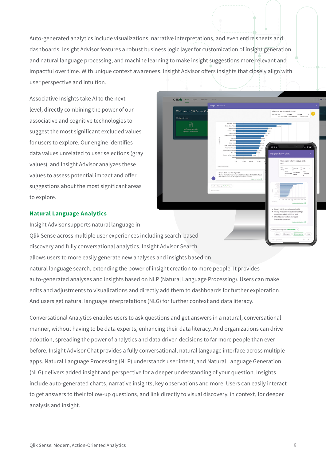Auto-generated analytics include visualizations, narrative interpretations, and even entire sheets and dashboards. Insight Advisor features a robust business logic layer for customization of insight generation and natural language processing, and machine learning to make insight suggestions more relevant and impactful over time. With unique context awareness, Insight Advisor offers insights that closely align with user perspective and intuition.

 $Q$ lik $Q$ 

lcome to Olik Sense. (

Associative Insights take AI to the next level, directly combining the power of our associative and cognitive technologies to suggest the most significant excluded values for users to explore. Our engine identifies data values unrelated to user selections (gray values), and Insight Advisor analyzes these values to assess potential impact and offer suggestions about the most significant areas to explore.

#### **Natural Language Analytics**

Insight Advisor supports natural language in Qlik Sense across multiple user experiences including search-based discovery and fully conversational analytics. Insight Advisor Search allows users to more easily generate new analyses and insights based on natural language search, extending the power of insight creation to more people. It provides auto-generated analyses and insights based on NLP (Natural Language Processing). Users can make edits and adjustments to visualizations and directly add them to dashboards for further exploration. And users get natural language interpretations (NLG) for further context and data literacy.

Conversational Analytics enables users to ask questions and get answers in a natural, conversational manner, without having to be data experts, enhancing their data literacy. And organizations can drive adoption, spreading the power of analytics and data driven decisions to far more people than ever before. Insight Advisor Chat provides a fully conversational, natural language interface across multiple apps. Natural Language Processing (NLP) understands user intent, and Natural Language Generation (NLG) delivers added insight and perspective for a deeper understanding of your question. Insights include auto-generated charts, narrative insights, key observations and more. Users can easily interact to get answers to their follow-up questions, and link directly to visual discovery, in context, for deeper analysis and insight.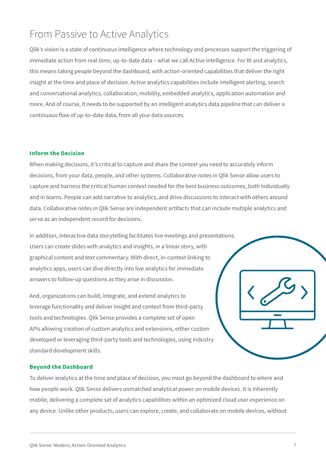## From Passive to Active Analytics

Qlik's vision is a state of continuous intelligence where technology and processes support the triggering of immediate action from real-time, up-to-date data – what we call Active Intelligence. For BI and analytics, this means taking people beyond the dashboard, with action-oriented capabilities that deliver the right insight at the time and place of decision. Active analytics capabilities include intelligent alerting, search and conversational analytics, collaboration, mobility, embedded analytics, application automation and more. And of course, it needs to be supported by an intelligent analytics data pipeline that can deliver a continuous flow of up-to-date data, from all your data sources.

#### **Inform the Decision**

When making decisions, it's critical to capture and share the context you need to accurately inform decisions, from your data, people, and other systems. Collaborative notes in Qlik Sense allow users to capture and harness the critical human context needed for the best business outcomes, both individually and in teams. People can add narrative to analytics, and drive discussions to interact with others around data. Collaborative notes in Qlik Sense are independent artifacts that can include multiple analytics and serve as an independent record for decisions.

In addition, interactive data storytelling facilitates live meetings and presentations. Users can create slides with analytics and insights, in a linear story, with graphical content and text commentary. With direct, in-context linking to analytics apps, users can dive directly into live analytics for immediate answers to follow-up questions as they arise in discussion.

And, organizations can build, integrate, and extend analytics to leverage functionality and deliver insight and context from third-party tools and technologies. Qlik Sense provides a complete set of open APIs allowing creation of custom analytics and extensions, either custom developed or leveraging third-party tools and technologies, using industry standard development skills.

#### **Beyond the Dashboard**

To deliver analytics at the time and place of decision, you must go beyond the dashboard to where and how people work. Qlik Sense delivers unmatched analytical power on mobile devices. It is inherently mobile, delivering a complete set of analytics capabilities within an optimized cloud user experience on any device. Unlike other products, users can explore, create, and collaborate on mobile devices, without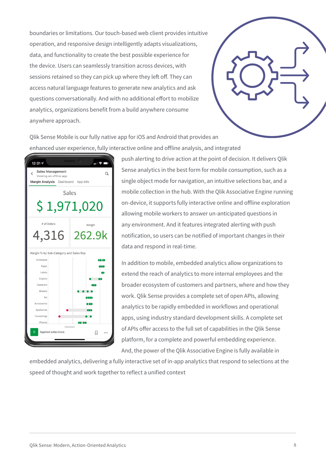boundaries or limitations. Our touch-based web client provides intuitive operation, and responsive design intelligently adapts visualizations, data, and functionality to create the best possible experience for the device. Users can seamlessly transition across devices, with sessions retained so they can pick up where they left off. They can access natural language features to generate new analytics and ask questions conversationally. And with no additional effort to mobilize analytics, organizations benefit from a build anywhere consume anywhere approach.



Qlik Sense Mobile is our fully native app for iOS and Android that provides an enhanced user experience, fully interactive online and offline analysis, and integrated



push alerting to drive action at the point of decision. It delivers Qlik Sense analytics in the best form for mobile consumption, such as a single object mode for navigation, an intuitive selections bar, and a mobile collection in the hub. With the Qlik Associative Engine running on-device, it supports fully interactive online and offline exploration allowing mobile workers to answer un-anticipated questions in any environment. And it features integrated alerting with push notification, so users can be notified of important changes in their data and respond in real-time.

In addition to mobile, embedded analytics allow organizations to extend the reach of analytics to more internal employees and the broader ecosystem of customers and partners, where and how they work. Qlik Sense provides a complete set of open APIs, allowing analytics to be rapidly embedded in workflows and operational apps, using industry standard development skills. A complete set of APIs offer access to the full set of capabilities in the Qlik Sense platform, for a complete and powerful embedding experience. And, the power of the Qlik Associative Engine is fully available in

embedded analytics, delivering a fully interactive set of in-app analytics that respond to selections at the speed of thought and work together to reflect a unified context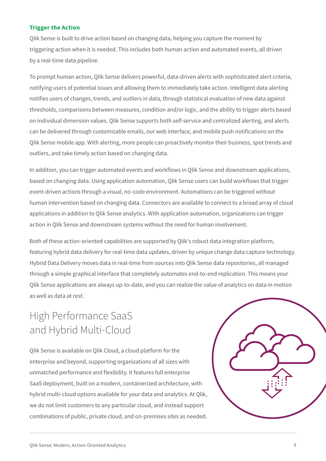#### **Trigger the Action**

Qlik Sense is built to drive action based on changing data, helping you capture the moment by triggering action when it is needed. This includes both human action and automated events, all driven by a real-time data pipeline.

To prompt human action, Qlik Sense delivers powerful, data-driven alerts with sophisticated alert criteria, notifying users of potential issues and allowing them to immediately take action. Intelligent data alerting notifies users of changes, trends, and outliers in data, through statistical evaluation of new data against thresholds, comparisons between measures, condition and/or logic, and the ability to trigger alerts based on individual dimension values. Qlik Sense supports both self-service and centralized alerting, and alerts can be delivered through customizable emails, our web interface, and mobile push notifications on the Qlik Sense mobile app. With alerting, more people can proactively monitor their business, spot trends and outliers, and take timely action based on changing data.

In addition, you can trigger automated events and workflows in Qlik Sense and downstream applications, based on changing data. Using application automation, Qlik Sense users can build workflows that trigger event-driven actions through a visual, no-code environment. Automations can be triggered without human intervention based on changing data. Connectors are available to connect to a broad array of cloud applications in addition to Qlik Sense analytics. With application automation, organizations can trigger action in Qlik Sense and downstream systems without the need for human involvement.

Both of these action-oriented capabilities are supported by Qlik's robust data integration platform, featuring hybrid data delivery for real-time data updates, driven by unique change data capture technology. Hybrid Data Delivery moves data in real-time from sources into Qlik Sense data repositories, all managed through a simple graphical interface that completely automates end-to-end replication. This means your Qlik Sense applications are always up-to-date, and you can realize the value of analytics on data in motion as well as data at rest.

## High Performance SaaS and Hybrid Multi-Cloud

Qlik Sense is available on Qlik Cloud, a cloud platform for the enterprise and beyond, supporting organizations of all sizes with unmatched performance and flexibility. It features full enterprise SaaS deployment, built on a modern, containerized architecture, with hybrid multi-cloud options available for your data and analytics. At Qlik, we do not limit customers to any particular cloud, and instead support combinations of public, private cloud, and on-premises sites as needed.